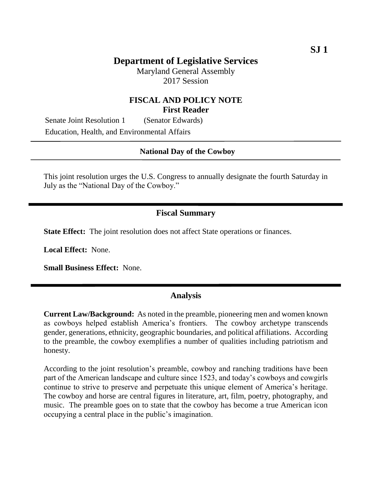Maryland General Assembly 2017 Session

## **FISCAL AND POLICY NOTE First Reader**

Senate Joint Resolution 1 (Senator Edwards) Education, Health, and Environmental Affairs

#### **National Day of the Cowboy**

This joint resolution urges the U.S. Congress to annually designate the fourth Saturday in July as the "National Day of the Cowboy."

### **Fiscal Summary**

**State Effect:** The joint resolution does not affect State operations or finances.

**Local Effect:** None.

**Small Business Effect:** None.

### **Analysis**

**Current Law/Background:** As noted in the preamble, pioneering men and women known as cowboys helped establish America's frontiers. The cowboy archetype transcends gender, generations, ethnicity, geographic boundaries, and political affiliations. According to the preamble, the cowboy exemplifies a number of qualities including patriotism and honesty.

According to the joint resolution's preamble, cowboy and ranching traditions have been part of the American landscape and culture since 1523, and today's cowboys and cowgirls continue to strive to preserve and perpetuate this unique element of America's heritage. The cowboy and horse are central figures in literature, art, film, poetry, photography, and music. The preamble goes on to state that the cowboy has become a true American icon occupying a central place in the public's imagination.